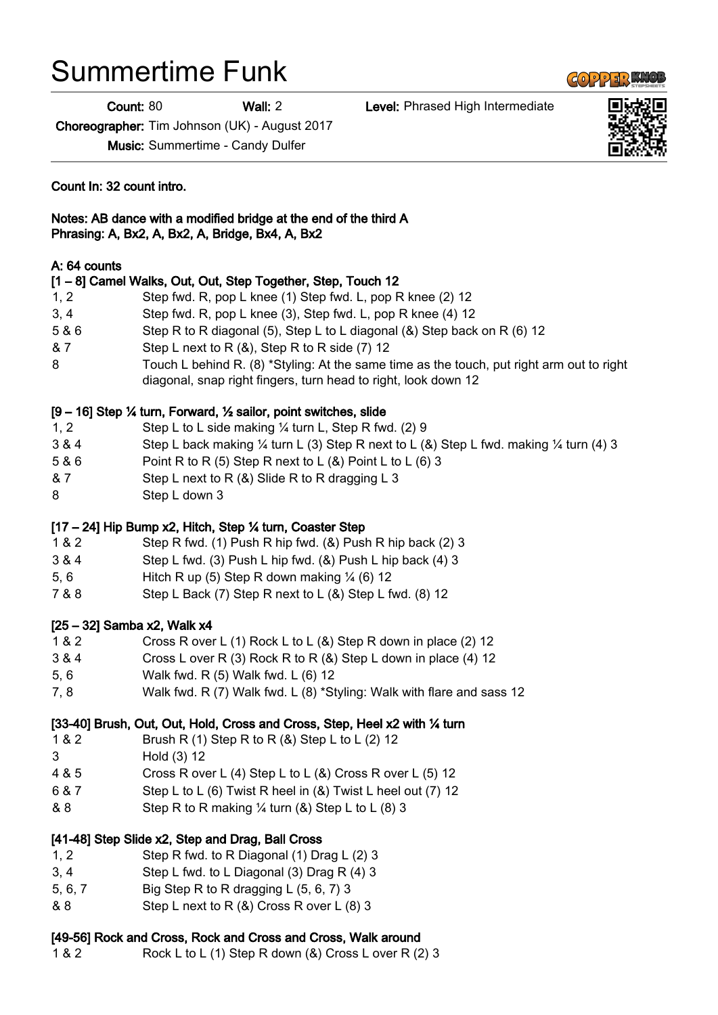# Summertime Funk

Count: 80 Wall: 2 Level: Phrased High Intermediate

Choreographer: Tim Johnson (UK) - August 2017

Music: Summertime - Candy Dulfer

Count In: 32 count intro.

#### Notes: AB dance with a modified bridge at the end of the third A Phrasing: A, Bx2, A, Bx2, A, Bridge, Bx4, A, Bx2

### A: 64 counts

|       | [1 - 8] Camel Walks, Out, Out, Step Together, Step, Touch 12                                                                                                |
|-------|-------------------------------------------------------------------------------------------------------------------------------------------------------------|
| 1, 2  | Step fwd. R, pop L knee (1) Step fwd. L, pop R knee (2) 12                                                                                                  |
| 3, 4  | Step fwd. R, pop L knee (3), Step fwd. L, pop R knee (4) 12                                                                                                 |
| 5 & 6 | Step R to R diagonal (5), Step L to L diagonal (&) Step back on R (6) 12                                                                                    |
| & 7   | Step L next to R $(8)$ , Step R to R side $(7)$ 12                                                                                                          |
| 8     | Touch L behind R. (8) *Styling: At the same time as the touch, put right arm out to right<br>diagonal, snap right fingers, turn head to right, look down 12 |
|       | $[9 - 16]$ Step ¼ turn, Forward, ½ sailor, point switches, slide                                                                                            |
| 1, 2  | Step L to L side making 1/4 turn L, Step R fwd. (2) 9                                                                                                       |

- 3 & 4 Step L back making ¼ turn L (3) Step R next to L (&) Step L fwd. making ¼ turn (4) 3
- 5 & 6 Point R to R (5) Step R next to L (&) Point L to L (6) 3
- & 7 Step L next to R (&) Slide R to R dragging L 3
- 8 Step L down 3

# [17 – 24] Hip Bump x2, Hitch, Step ¼ turn, Coaster Step

- 1 & 2 Step R fwd. (1) Push R hip fwd. (&) Push R hip back (2) 3
- 3 & 4 Step L fwd. (3) Push L hip fwd. (&) Push L hip back (4) 3
- 5, 6 Hitch R up (5) Step R down making ¼ (6) 12
- 7 & 8 Step L Back (7) Step R next to L (&) Step L fwd. (8) 12

# [25 – 32] Samba x2, Walk x4

- 1 & 2 Cross R over L (1) Rock L to L (&) Step R down in place (2) 12
- 3 & 4 Cross L over R (3) Rock R to R (&) Step L down in place (4) 12
- 5, 6 Walk fwd. R (5) Walk fwd. L (6) 12
- 7, 8 Walk fwd. R (7) Walk fwd. L (8) \*Styling: Walk with flare and sass 12

# [33-40] Brush, Out, Out, Hold, Cross and Cross, Step, Heel x2 with 1/4 turn

- 1 & 2 Brush R (1) Step R to R (&) Step L to L (2) 12
- 3 Hold (3) 12
- 4 & 5 Cross R over L (4) Step L to L (&) Cross R over L (5) 12
- 6 & 7 Step L to L (6) Twist R heel in (&) Twist L heel out (7) 12
- & 8 Step R to R making  $\frac{1}{4}$  turn (&) Step L to L (8) 3

# [41-48] Step Slide x2, Step and Drag, Ball Cross

- 1, 2 Step R fwd. to R Diagonal (1) Drag L (2) 3
- 3, 4 Step L fwd. to L Diagonal (3) Drag R (4) 3
- 5, 6, 7 Big Step R to R dragging L (5, 6, 7) 3
- & 8 Step L next to R (&) Cross R over L (8) 3

# [49-56] Rock and Cross, Rock and Cross and Cross, Walk around

1 & 2 Rock L to L (1) Step R down (&) Cross L over R (2) 3